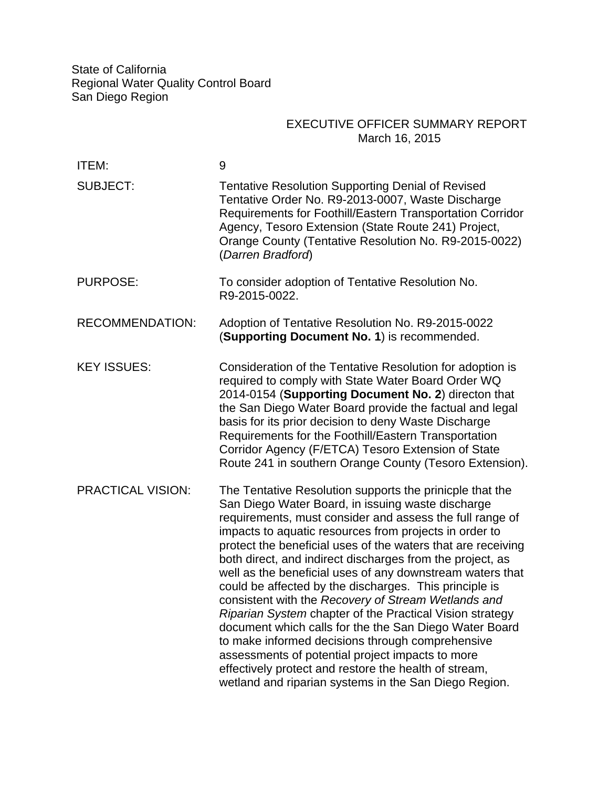State of California Regional Water Quality Control Board San Diego Region

## EXECUTIVE OFFICER SUMMARY REPORT March 16, 2015

| ITEM:                    | 9                                                                                                                                                                                                                                                                                                                                                                                                                                                                                                                                                                                                                                                                                                                                                                                                                                                                                              |
|--------------------------|------------------------------------------------------------------------------------------------------------------------------------------------------------------------------------------------------------------------------------------------------------------------------------------------------------------------------------------------------------------------------------------------------------------------------------------------------------------------------------------------------------------------------------------------------------------------------------------------------------------------------------------------------------------------------------------------------------------------------------------------------------------------------------------------------------------------------------------------------------------------------------------------|
| <b>SUBJECT:</b>          | <b>Tentative Resolution Supporting Denial of Revised</b><br>Tentative Order No. R9-2013-0007, Waste Discharge<br>Requirements for Foothill/Eastern Transportation Corridor<br>Agency, Tesoro Extension (State Route 241) Project,<br>Orange County (Tentative Resolution No. R9-2015-0022)<br>(Darren Bradford)                                                                                                                                                                                                                                                                                                                                                                                                                                                                                                                                                                                |
| <b>PURPOSE:</b>          | To consider adoption of Tentative Resolution No.<br>R9-2015-0022.                                                                                                                                                                                                                                                                                                                                                                                                                                                                                                                                                                                                                                                                                                                                                                                                                              |
| <b>RECOMMENDATION:</b>   | Adoption of Tentative Resolution No. R9-2015-0022<br>(Supporting Document No. 1) is recommended.                                                                                                                                                                                                                                                                                                                                                                                                                                                                                                                                                                                                                                                                                                                                                                                               |
| <b>KEY ISSUES:</b>       | Consideration of the Tentative Resolution for adoption is<br>required to comply with State Water Board Order WQ<br>2014-0154 (Supporting Document No. 2) directon that<br>the San Diego Water Board provide the factual and legal<br>basis for its prior decision to deny Waste Discharge<br>Requirements for the Foothill/Eastern Transportation<br>Corridor Agency (F/ETCA) Tesoro Extension of State<br>Route 241 in southern Orange County (Tesoro Extension).                                                                                                                                                                                                                                                                                                                                                                                                                             |
| <b>PRACTICAL VISION:</b> | The Tentative Resolution supports the prinicple that the<br>San Diego Water Board, in issuing waste discharge<br>requirements, must consider and assess the full range of<br>impacts to aquatic resources from projects in order to<br>protect the beneficial uses of the waters that are receiving<br>both direct, and indirect discharges from the project, as<br>well as the beneficial uses of any downstream waters that<br>could be affected by the discharges. This principle is<br>consistent with the Recovery of Stream Wetlands and<br>Riparian System chapter of the Practical Vision strategy<br>document which calls for the the San Diego Water Board<br>to make informed decisions through comprehensive<br>assessments of potential project impacts to more<br>effectively protect and restore the health of stream,<br>wetland and riparian systems in the San Diego Region. |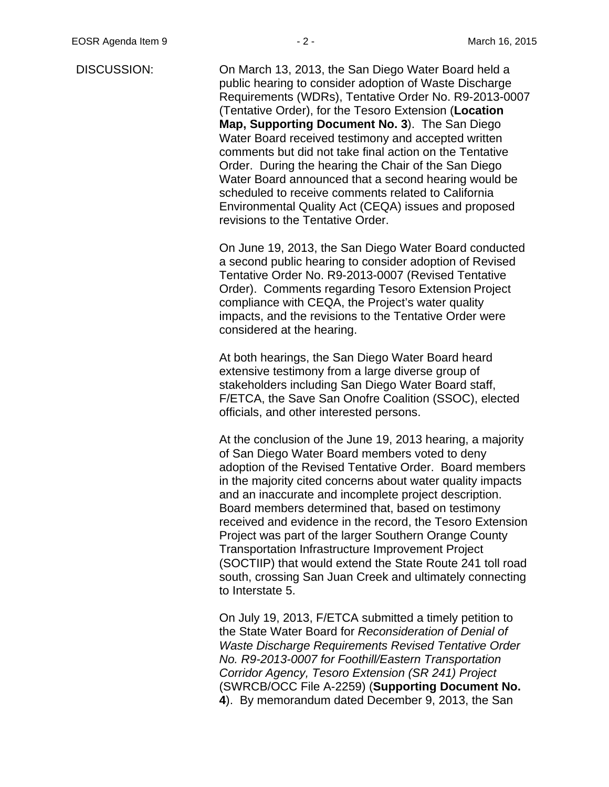DISCUSSION: On March 13, 2013, the San Diego Water Board held a public hearing to consider adoption of Waste Discharge Requirements (WDRs), Tentative Order No. R9-2013-0007 (Tentative Order), for the Tesoro Extension (**Location Map, Supporting Document No. 3**). The San Diego Water Board received testimony and accepted written comments but did not take final action on the Tentative Order. During the hearing the Chair of the San Diego Water Board announced that a second hearing would be scheduled to receive comments related to California Environmental Quality Act (CEQA) issues and proposed revisions to the Tentative Order.

> On June 19, 2013, the San Diego Water Board conducted a second public hearing to consider adoption of Revised Tentative Order No. R9-2013-0007 (Revised Tentative Order). Comments regarding Tesoro Extension Project compliance with CEQA, the Project's water quality impacts, and the revisions to the Tentative Order were considered at the hearing.

At both hearings, the San Diego Water Board heard extensive testimony from a large diverse group of stakeholders including San Diego Water Board staff, F/ETCA, the Save San Onofre Coalition (SSOC), elected officials, and other interested persons.

At the conclusion of the June 19, 2013 hearing, a majority of San Diego Water Board members voted to deny adoption of the Revised Tentative Order. Board members in the majority cited concerns about water quality impacts and an inaccurate and incomplete project description. Board members determined that, based on testimony received and evidence in the record, the Tesoro Extension Project was part of the larger Southern Orange County Transportation Infrastructure Improvement Project (SOCTIIP) that would extend the State Route 241 toll road south, crossing San Juan Creek and ultimately connecting to Interstate 5.

On July 19, 2013, F/ETCA submitted a timely petition to the State Water Board for *Reconsideration of Denial of Waste Discharge Requirements Revised Tentative Order No. R9-2013-0007 for Foothill/Eastern Transportation Corridor Agency, Tesoro Extension (SR 241) Project* (SWRCB/OCC File A-2259) (**Supporting Document No. 4**). By memorandum dated December 9, 2013, the San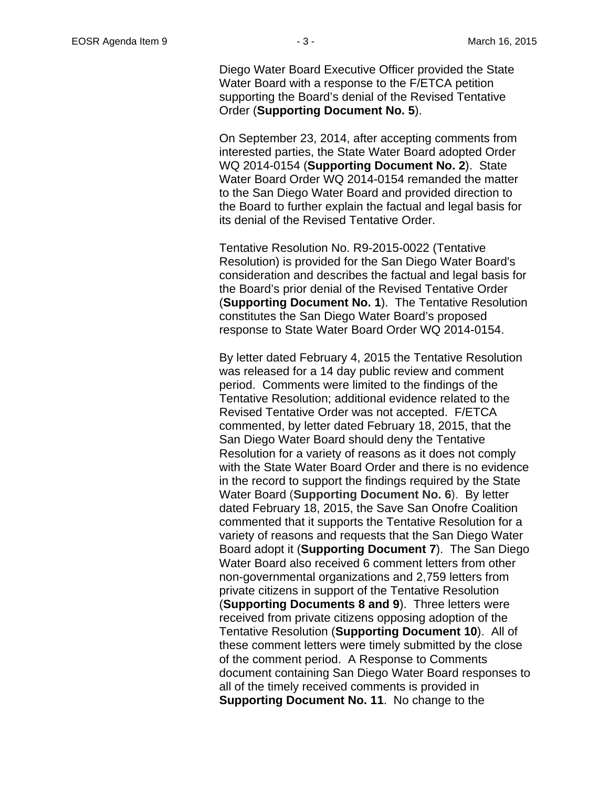Diego Water Board Executive Officer provided the State Water Board with a response to the F/ETCA petition supporting the Board's denial of the Revised Tentative Order (**Supporting Document No. 5**).

On September 23, 2014, after accepting comments from interested parties, the State Water Board adopted Order WQ 2014-0154 (**Supporting Document No. 2**).State Water Board Order WQ 2014-0154 remanded the matter to the San Diego Water Board and provided direction to the Board to further explain the factual and legal basis for its denial of the Revised Tentative Order.

Tentative Resolution No. R9-2015-0022 (Tentative Resolution) is provided for the San Diego Water Board's consideration and describes the factual and legal basis for the Board's prior denial of the Revised Tentative Order (**Supporting Document No. 1**). The Tentative Resolution constitutes the San Diego Water Board's proposed response to State Water Board Order WQ 2014-0154.

By letter dated February 4, 2015 the Tentative Resolution was released for a 14 day public review and comment period. Comments were limited to the findings of the Tentative Resolution; additional evidence related to the Revised Tentative Order was not accepted. F/ETCA commented, by letter dated February 18, 2015, that the San Diego Water Board should deny the Tentative Resolution for a variety of reasons as it does not comply with the State Water Board Order and there is no evidence in the record to support the findings required by the State Water Board (**Supporting Document No. 6**). By letter dated February 18, 2015, the Save San Onofre Coalition commented that it supports the Tentative Resolution for a variety of reasons and requests that the San Diego Water Board adopt it (**Supporting Document 7**). The San Diego Water Board also received 6 comment letters from other non-governmental organizations and 2,759 letters from private citizens in support of the Tentative Resolution (**Supporting Documents 8 and 9**). Three letters were received from private citizens opposing adoption of the Tentative Resolution (**Supporting Document 10**). All of these comment letters were timely submitted by the close of the comment period. A Response to Comments document containing San Diego Water Board responses to all of the timely received comments is provided in **Supporting Document No. 11**. No change to the